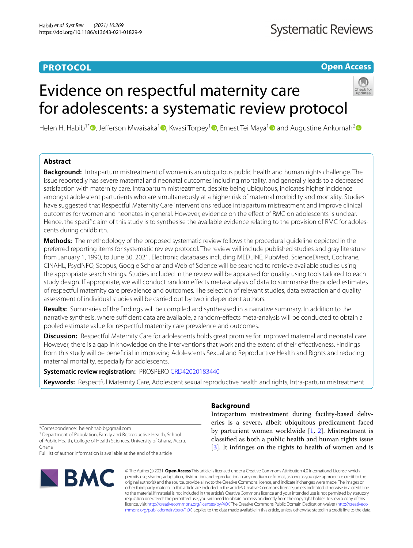# **PROTOCOL**

**Open Access**

# Evidence on respectful maternity care for adolescents: a systematic review protocol



Helen H. Habib<sup>1\*</sup><sup></sup>[,](https://orcid.org/0000-0002-1415-5893) Jefferson Mwaisaka<sup>1</sup><sup>[,](https://orcid.org/0000-0003-1628-2922)</sup> Kwasi Torpey<sup>[1](https://orcid.org/0000-0001-6050-6837)</sup> , Ernest Tei Maya<sup>1</sup> and Augustine Ankomah<sup>[2](https://orcid.org/0000-0002-9616-8291)</sup>

# **Abstract**

**Background:** Intrapartum mistreatment of women is an ubiquitous public health and human rights challenge. The issue reportedly has severe maternal and neonatal outcomes including mortality, and generally leads to a decreased satisfaction with maternity care. Intrapartum mistreatment, despite being ubiquitous, indicates higher incidence amongst adolescent parturients who are simultaneously at a higher risk of maternal morbidity and mortality. Studies have suggested that Respectful Maternity Care interventions reduce intrapartum mistreatment and improve clinical outcomes for women and neonates in general. However, evidence on the efect of RMC on adolescents is unclear. Hence, the specifc aim of this study is to synthesise the available evidence relating to the provision of RMC for adolescents during childbirth.

**Methods:** The methodology of the proposed systematic review follows the procedural guideline depicted in the preferred reporting items for systematic review protocol. The review will include published studies and gray literature from January 1, 1990, to June 30, 2021. Electronic databases including MEDLINE, PubMed, ScienceDirect, Cochrane, CINAHL, PsycINFO, Scopus, Google Scholar and Web of Science will be searched to retrieve available studies using the appropriate search strings. Studies included in the review will be appraised for quality using tools tailored to each study design. If appropriate, we will conduct random efects meta-analysis of data to summarise the pooled estimates of respectful maternity care prevalence and outcomes. The selection of relevant studies, data extraction and quality assessment of individual studies will be carried out by two independent authors.

**Results:** Summaries of the fndings will be compiled and synthesised in a narrative summary. In addition to the narrative synthesis, where sufficient data are available, a random-effects meta-analysis will be conducted to obtain a pooled estimate value for respectful maternity care prevalence and outcomes.

**Discussion:** Respectful Maternity Care for adolescents holds great promise for improved maternal and neonatal care. However, there is a gap in knowledge on the interventions that work and the extent of their efectiveness. Findings from this study will be benefcial in improving Adolescents Sexual and Reproductive Health and Rights and reducing maternal mortality, especially for adolescents.

**Systematic review registration:** PROSPERO [CRD42020183440](https://www.crd.york.ac.uk/prospero/display_record.php?ID=CRD42020183440)

**Keywords:** Respectful Maternity Care, Adolescent sexual reproductive health and rights, Intra-partum mistreatment

# **Background**

Intrapartum mistreatment during facility-based deliveries is a severe, albeit ubiquitous predicament faced by parturient women worldwide [\[1](#page-4-0), [2](#page-4-1)]. Mistreatment is classifed as both a public health and human rights issue [[3\]](#page-4-2). It infringes on the rights to health of women and is

\*Correspondence: helenhhabib@gmail.com

<sup>1</sup> Department of Population, Family and Reproductive Health, School of Public Health, College of Health Sciences, University of Ghana, Accra, Ghana

Full list of author information is available at the end of the article



© The Author(s) 2021. **Open Access** This article is licensed under a Creative Commons Attribution 4.0 International License, which permits use, sharing, adaptation, distribution and reproduction in any medium or format, as long as you give appropriate credit to the original author(s) and the source, provide a link to the Creative Commons licence, and indicate if changes were made. The images or other third party material in this article are included in the article's Creative Commons licence, unless indicated otherwise in a credit line to the material. If material is not included in the article's Creative Commons licence and your intended use is not permitted by statutory regulation or exceeds the permitted use, you will need to obtain permission directly from the copyright holder. To view a copy of this licence, visit [http://creativecommons.org/licenses/by/4.0/.](http://creativecommons.org/licenses/by/4.0/) The Creative Commons Public Domain Dedication waiver ([http://creativeco](http://creativecommons.org/publicdomain/zero/1.0/) [mmons.org/publicdomain/zero/1.0/](http://creativecommons.org/publicdomain/zero/1.0/)) applies to the data made available in this article, unless otherwise stated in a credit line to the data.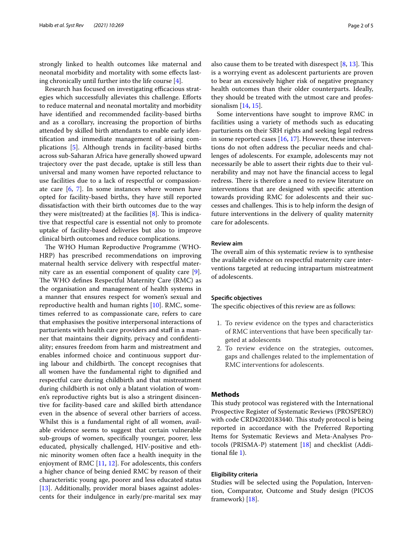strongly linked to health outcomes like maternal and neonatal morbidity and mortality with some efects lasting chronically until further into the life course [\[4](#page-4-3)].

Research has focused on investigating efficacious strategies which successfully alleviates this challenge. Eforts to reduce maternal and neonatal mortality and morbidity have identifed and recommended facility-based births and as a corollary, increasing the proportion of births attended by skilled birth attendants to enable early identifcation and immediate management of arising complications [\[5](#page-4-4)]. Although trends in facility-based births across sub-Saharan Africa have generally showed upward trajectory over the past decade, uptake is still less than universal and many women have reported reluctance to use facilities due to a lack of respectful or compassionate care [\[6](#page-4-5), [7](#page-4-6)]. In some instances where women have opted for facility-based births, they have still reported dissatisfaction with their birth outcomes due to the way they were mis(treated) at the facilities  $[8]$  $[8]$ . This is indicative that respectful care is essential not only to promote uptake of facility-based deliveries but also to improve clinical birth outcomes and reduce complications.

The WHO Human Reproductive Programme (WHO-HRP) has prescribed recommendations on improving maternal health service delivery with respectful maternity care as an essential component of quality care [\[9](#page-4-8)]. The WHO defines Respectful Maternity Care (RMC) as the organisation and management of health systems in a manner that ensures respect for women's sexual and reproductive health and human rights [[10\]](#page-4-9). RMC, sometimes referred to as compassionate care, refers to care that emphasises the positive interpersonal interactions of parturients with health care providers and staf in a manner that maintains their dignity, privacy and confdentiality; ensures freedom from harm and mistreatment and enables informed choice and continuous support during labour and childbirth. The concept recognises that all women have the fundamental right to dignifed and respectful care during childbirth and that mistreatment during childbirth is not only a blatant violation of women's reproductive rights but is also a stringent disincentive for facility-based care and skilled birth attendance even in the absence of several other barriers of access. Whilst this is a fundamental right of all women, available evidence seems to suggest that certain vulnerable sub-groups of women, specifcally younger, poorer, less educated, physically challenged, HIV-positive and ethnic minority women often face a health inequity in the enjoyment of RMC [[11](#page-4-10), [12](#page-4-11)]. For adolescents, this confers a higher chance of being denied RMC by reason of their characteristic young age, poorer and less educated status [[13\]](#page-4-12). Additionally, provider moral biases against adolescents for their indulgence in early/pre-marital sex may also cause them to be treated with disrespect  $[8, 13]$  $[8, 13]$  $[8, 13]$  $[8, 13]$ . This is a worrying event as adolescent parturients are proven to bear an excessively higher risk of negative pregnancy health outcomes than their older counterparts. Ideally, they should be treated with the utmost care and professionalism  $[14, 15]$  $[14, 15]$  $[14, 15]$  $[14, 15]$ .

Some interventions have sought to improve RMC in facilities using a variety of methods such as educating parturients on their SRH rights and seeking legal redress in some reported cases [\[16,](#page-4-15) [17](#page-4-16)]. However, these interventions do not often address the peculiar needs and challenges of adolescents. For example, adolescents may not necessarily be able to assert their rights due to their vulnerability and may not have the fnancial access to legal redress. There is therefore a need to review literature on interventions that are designed with specifc attention towards providing RMC for adolescents and their successes and challenges. This is to help inform the design of future interventions in the delivery of quality maternity care for adolescents.

# **Review aim**

The overall aim of this systematic review is to synthesise the available evidence on respectful maternity care interventions targeted at reducing intrapartum mistreatment of adolescents.

# **Specifc objectives**

The specific objectives of this review are as follows:

- 1. To review evidence on the types and characteristics of RMC interventions that have been specifcally targeted at adolescents
- 2. To review evidence on the strategies, outcomes, gaps and challenges related to the implementation of RMC interventions for adolescents.

# **Methods**

This study protocol was registered with the International Prospective Register of Systematic Reviews (PROSPERO) with code CRD42020183440. This study protocol is being reported in accordance with the Preferred Reporting Items for Systematic Reviews and Meta-Analyses Protocols (PRISMA-P) statement [\[18\]](#page-4-17) and checklist (Additional fle [1](#page-3-0)).

## **Eligibility criteria**

Studies will be selected using the Population, Intervention, Comparator, Outcome and Study design (PICOS framework) [\[18](#page-4-17)].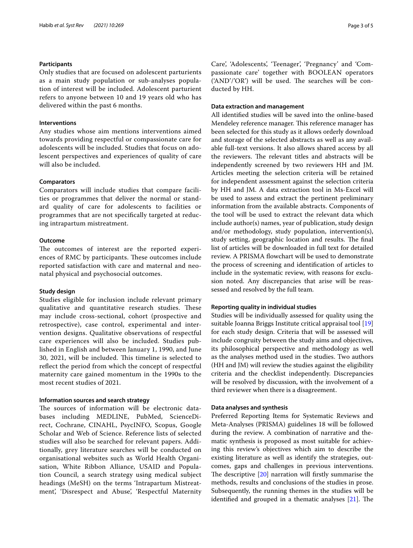# **Participants**

Only studies that are focused on adolescent parturients as a main study population or sub-analyses population of interest will be included. Adolescent parturient refers to anyone between 10 and 19 years old who has delivered within the past 6 months.

# **Interventions**

Any studies whose aim mentions interventions aimed towards providing respectful or compassionate care for adolescents will be included. Studies that focus on adolescent perspectives and experiences of quality of care will also be included.

# **Comparators**

Comparators will include studies that compare facilities or programmes that deliver the normal or standard quality of care for adolescents to facilities or programmes that are not specifcally targeted at reducing intrapartum mistreatment.

# **Outcome**

The outcomes of interest are the reported experiences of RMC by participants. These outcomes include reported satisfaction with care and maternal and neonatal physical and psychosocial outcomes.

#### **Study design**

Studies eligible for inclusion include relevant primary qualitative and quantitative research studies. These may include cross-sectional, cohort (prospective and retrospective), case control, experimental and intervention designs. Qualitative observations of respectful care experiences will also be included. Studies published in English and between January 1, 1990, and June 30, 2021, will be included. This timeline is selected to refect the period from which the concept of respectful maternity care gained momentum in the 1990s to the most recent studies of 2021.

# **Information sources and search strategy**

The sources of information will be electronic databases including MEDLINE, PubMed, ScienceDirect, Cochrane, CINAHL, PsycINFO, Scopus, Google Scholar and Web of Science. Reference lists of selected studies will also be searched for relevant papers. Additionally, grey literature searches will be conducted on organisational websites such as World Health Organisation, White Ribbon Alliance, USAID and Population Council, a search strategy using medical subject headings (MeSH) on the terms 'Intrapartum Mistreatment', 'Disrespect and Abuse', 'Respectful Maternity Care', 'Adolescents', 'Teenager', 'Pregnancy' and 'Compassionate care' together with BOOLEAN operators  $(AND'/OR')$  will be used. The searches will be conducted by HH.

# **Data extraction and management**

All identifed studies will be saved into the online-based Mendeley reference manager. This reference manager has been selected for this study as it allows orderly download and storage of the selected abstracts as well as any available full-text versions. It also allows shared access by all the reviewers. The relevant titles and abstracts will be independently screened by two reviewers HH and JM. Articles meeting the selection criteria will be retained for independent assessment against the selection criteria by HH and JM. A data extraction tool in Ms-Excel will be used to assess and extract the pertinent preliminary information from the available abstracts. Components of the tool will be used to extract the relevant data which include author(s) names, year of publication, study design and/or methodology, study population, intervention(s), study setting, geographic location and results. The final list of articles will be downloaded in full text for detailed review. A PRISMA flowchart will be used to demonstrate the process of screening and identifcation of articles to include in the systematic review, with reasons for exclusion noted. Any discrepancies that arise will be reassessed and resolved by the full team.

# **Reporting quality in individual studies**

Studies will be individually assessed for quality using the suitable Joanna Briggs Institute critical appraisal tool [[19](#page-4-18)] for each study design. Criteria that will be assessed will include congruity between the study aims and objectives, its philosophical perspective and methodology as well as the analyses method used in the studies. Two authors (HH and JM) will review the studies against the eligibility criteria and the checklist independently. Discrepancies will be resolved by discussion, with the involvement of a third reviewer when there is a disagreement.

# **Data analyses and synthesis**

Preferred Reporting Items for Systematic Reviews and Meta-Analyses (PRISMA) guidelines 18 will be followed during the review. A combination of narrative and thematic synthesis is proposed as most suitable for achieving this review's objectives which aim to describe the existing literature as well as identify the strategies, outcomes, gaps and challenges in previous interventions. The descriptive  $[20]$  $[20]$  narration will firstly summarise the methods, results and conclusions of the studies in prose. Subsequently, the running themes in the studies will be identified and grouped in a thematic analyses  $[21]$  $[21]$ . The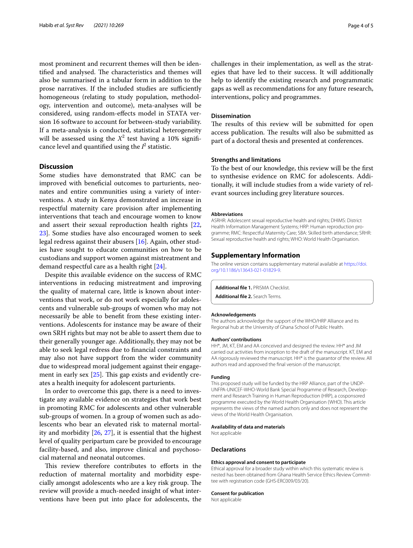most prominent and recurrent themes will then be identified and analysed. The characteristics and themes will also be summarised in a tabular form in addition to the prose narratives. If the included studies are sufficiently homogeneous (relating to study population, methodology, intervention and outcome), meta-analyses will be considered, using random-efects model in STATA version 16 software to account for between-study variability. If a meta-analysis is conducted, statistical heterogeneity will be assessed using the  $X^2$  test having a 10% significance level and quantified using the  $I^2$  statistic.

# **Discussion**

Some studies have demonstrated that RMC can be improved with benefcial outcomes to parturients, neonates and entire communities using a variety of interventions. A study in Kenya demonstrated an increase in respectful maternity care provision after implementing interventions that teach and encourage women to know and assert their sexual reproduction health rights [\[22](#page-4-21), [23\]](#page-4-22). Some studies have also encouraged women to seek legal redress against their abusers [[16\]](#page-4-15). Again, other studies have sought to educate communities on how to be custodians and support women against mistreatment and demand respectful care as a health right [\[24\]](#page-4-23).

Despite this available evidence on the success of RMC interventions in reducing mistreatment and improving the quality of maternal care, little is known about interventions that work, or do not work especially for adolescents and vulnerable sub-groups of women who may not necessarily be able to beneft from these existing interventions. Adolescents for instance may be aware of their own SRH rights but may not be able to assert them due to their generally younger age. Additionally, they may not be able to seek legal redress due to fnancial constraints and may also not have support from the wider community due to widespread moral judgement against their engagement in early sex  $[25]$ . This gap exists and evidently creates a health inequity for adolescent parturients.

In order to overcome this gap, there is a need to investigate any available evidence on strategies that work best in promoting RMC for adolescents and other vulnerable sub-groups of women. In a group of women such as adolescents who bear an elevated risk to maternal mortality and morbidity [\[26](#page-4-25), [27](#page-4-26)], it is essential that the highest level of quality peripartum care be provided to encourage facility-based, and also, improve clinical and psychosocial maternal and neonatal outcomes.

This review therefore contributes to efforts in the reduction of maternal mortality and morbidity especially amongst adolescents who are a key risk group. The review will provide a much-needed insight of what interventions have been put into place for adolescents, the

challenges in their implementation, as well as the strategies that have led to their success. It will additionally help to identify the existing research and programmatic gaps as well as recommendations for any future research, interventions, policy and programmes.

### **Dissemination**

The results of this review will be submitted for open access publication. The results will also be submitted as part of a doctoral thesis and presented at conferences.

# **Strengths and limitations**

To the best of our knowledge, this review will be the frst to synthesise evidence on RMC for adolescents. Additionally, it will include studies from a wide variety of relevant sources including grey literature sources.

#### **Abbreviations**

ASRHR: Adolescent sexual reproductive health and rights; DHIMS: District Health Information Management Systems; HRP: Human reproduction programme; RMC: Respectful Maternity Care; SBA: Skilled birth attendance; SRHR: Sexual reproductive health and rights; WHO: World Health Organisation.

# **Supplementary Information**

The online version contains supplementary material available at [https://doi.](https://doi.org/10.1186/s13643-021-01829-9) [org/10.1186/s13643-021-01829-9](https://doi.org/10.1186/s13643-021-01829-9).

<span id="page-3-0"></span>**Additional fle 1.** PRISMA Checklist.

**Additional fle 2.** Search Terms.

#### **Acknowledgements**

The authors acknowledge the support of the WHO/HRP Alliance and its Regional hub at the University of Ghana School of Public Health.

#### **Authors' contributions**

HH\*, JM, KT, EM and AA conceived and designed the review. HH\* and JM carried out activities from inception to the draft of the manuscript. KT, EM and AA rigorously reviewed the manuscript. HH\* is the guarantor of the review. All authors read and approved the fnal version of the manuscript.

#### **Funding**

This proposed study will be funded by the HRP Alliance, part of the UNDP-UNFPA-UNICEF-WHO-World Bank Special Programme of Research, Development and Research Training in Human Reproduction (HRP), a cosponsored programme executed by the World Health Organisation (WHO). This article represents the views of the named authors only and does not represent the views of the World Health Organisation.

#### **Availability of data and materials**

Not applicable

# **Declarations**

#### **Ethics approval and consent to participate**

Ethical approval for a broader study within which this systematic review is nested has been obtained from Ghana Health Service Ethics Review Committee with registration code (GHS-ERC009/03/20).

#### **Consent for publication**

Not applicable